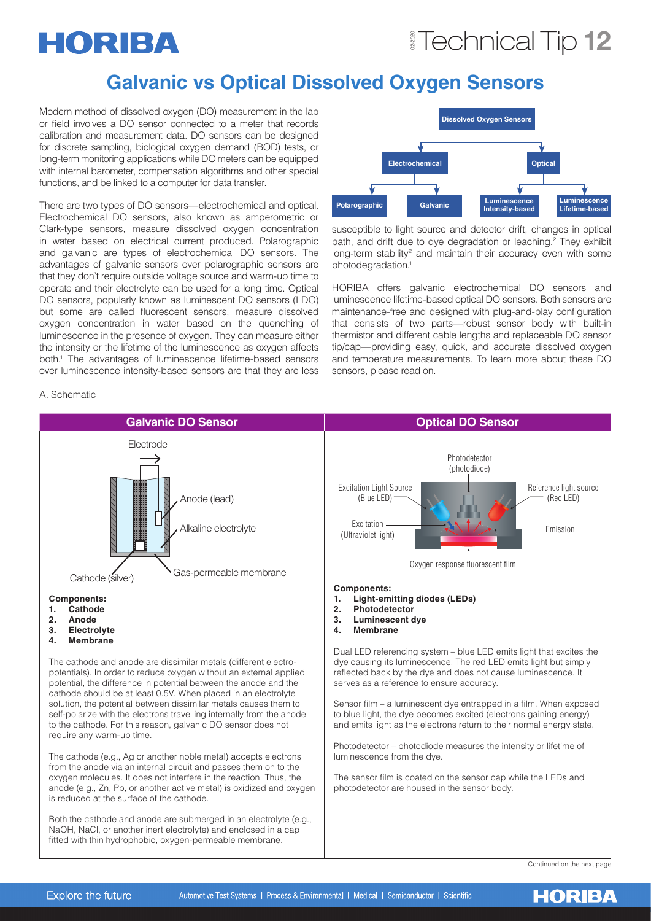## Technical Tip 12

# HORIBA

## **Galvanic vs Optical Dissolved Oxygen Sensors**

Modern method of dissolved oxygen (DO) measurement in the lab or field involves a DO sensor connected to a meter that records calibration and measurement data. DO sensors can be designed for discrete sampling, biological oxygen demand (BOD) tests, or long-term monitoring applications while DO meters can be equipped with internal barometer, compensation algorithms and other special functions, and be linked to a computer for data transfer.

There are two types of DO sensors—electrochemical and optical. Electrochemical DO sensors, also known as amperometric or Clark-type sensors, measure dissolved oxygen concentration in water based on electrical current produced. Polarographic and galvanic are types of electrochemical DO sensors. The advantages of galvanic sensors over polarographic sensors are that they don't require outside voltage source and warm-up time to operate and their electrolyte can be used for a long time. Optical DO sensors, popularly known as luminescent DO sensors (LDO) but some are called fluorescent sensors, measure dissolved oxygen concentration in water based on the quenching of luminescence in the presence of oxygen. They can measure either the intensity or the lifetime of the luminescence as oxygen affects both.1 The advantages of luminescence lifetime-based sensors over luminescence intensity-based sensors are that they are less



susceptible to light source and detector drift, changes in optical path, and drift due to dye degradation or leaching.<sup>2</sup> They exhibit long-term stability<sup>2</sup> and maintain their accuracy even with some photodegradation.1

HORIBA offers galvanic electrochemical DO sensors and luminescence lifetime-based optical DO sensors. Both sensors are maintenance-free and designed with plug-and-play configuration that consists of two parts—robust sensor body with built-in thermistor and different cable lengths and replaceable DO sensor tip/cap—providing easy, quick, and accurate dissolved oxygen and temperature measurements. To learn more about these DO sensors, please read on.

## A. Schematic



Continued on the next page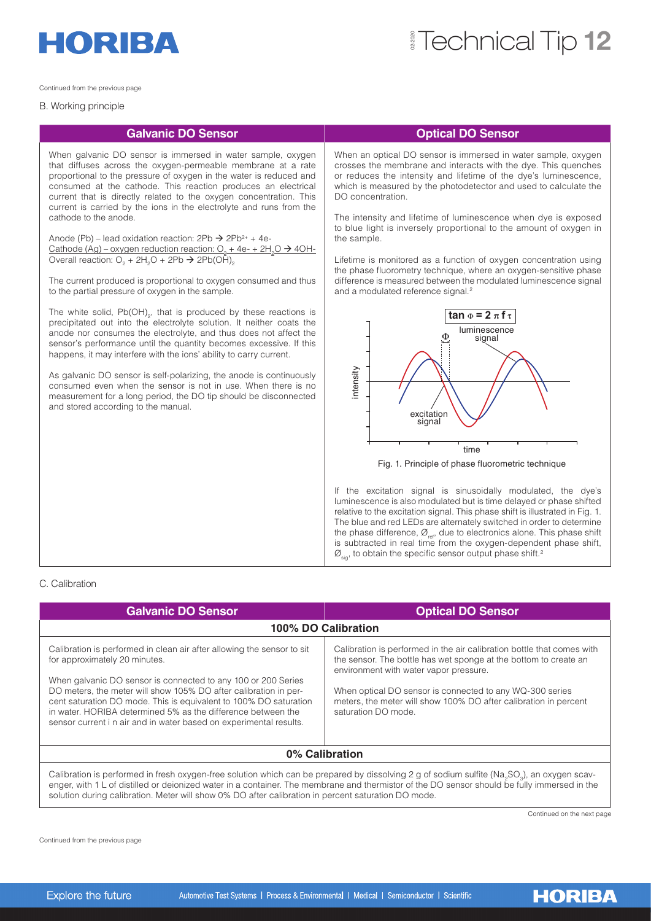

## Technical Tip 12

Continued from the previous page

### B. Working principle

## **Galvanic DO Sensor CONSERVING CONSERVANCE CONSERVANCE CONSERVANCE CONSERVANCE CONSERVANCE CONSERVANCE CONSERVANCE CONSERVANCE CONSERVANCE CONSERVANCE CONSERVANCE CONSERVANCE CONSERVANCE CONSERVANCE CONSERVANCE CONSERVAN**

When galvanic DO sensor is immersed in water sample, oxygen that diffuses across the oxygen-permeable membrane at a rate proportional to the pressure of oxygen in the water is reduced and consumed at the cathode. This reaction produces an electrical current that is directly related to the oxygen concentration. This current is carried by the ions in the electrolyte and runs from the cathode to the anode.

Anode (Pb) – lead oxidation reaction:  $2Pb \rightarrow 2Pb^{2+} + 4e$ -<u> Cathode (Ag) – oxygen reduction reaction: O<sub>2</sub> + 4e- + 2H<sub>2</sub>O  $\rightarrow$  4OH-</u> Overall reaction: O<sub>2</sub> + 2H<sub>2</sub>O + 2Pb  $\rightarrow$  2Pb(OH)<sub>2</sub>

The current produced is proportional to oxygen consumed and thus to the partial pressure of oxygen in the sample.

The white solid,  $Pb(OH)_{2}$ , that is produced by these reactions is precipitated out into the electrolyte solution. It neither coats the anode nor consumes the electrolyte, and thus does not affect the sensor's performance until the quantity becomes excessive. If this happens, it may interfere with the ions' ability to carry current.

As galvanic DO sensor is self-polarizing, the anode is continuously consumed even when the sensor is not in use. When there is no measurement for a long period, the DO tip should be disconnected and stored according to the manual.

When an optical DO sensor is immersed in water sample, oxygen crosses the membrane and interacts with the dye. This quenches or reduces the intensity and lifetime of the dye's luminescence, which is measured by the photodetector and used to calculate the DO concentration.

The intensity and lifetime of luminescence when dye is exposed to blue light is inversely proportional to the amount of oxygen in the sample.

Lifetime is monitored as a function of oxygen concentration using the phase fluorometry technique, where an oxygen-sensitive phase difference is measured between the modulated luminescence signal and a modulated reference signal.<sup>2</sup>



If the excitation signal is sinusoidally modulated, the dye's luminescence is also modulated but is time delayed or phase shifted relative to the excitation signal. This phase shift is illustrated in Fig. 1. The blue and red LEDs are alternately switched in order to determine the phase difference,  $\varnothing_{\text{ref}}$ , due to electronics alone. This phase shift is subtracted in real time from the oxygen-dependent phase shift,  $\mathcal{O}_{\text{siq}}$ , to obtain the specific sensor output phase shift.<sup>2</sup>

### C. Calibration

| <b>Galvanic DO Sensor</b>                                                                                                                                                                                                                                                                                                                                                                                                                               | <b>Optical DO Sensor</b>                                                                                                                                                                                                                                                                                                                    |  |  |  |
|---------------------------------------------------------------------------------------------------------------------------------------------------------------------------------------------------------------------------------------------------------------------------------------------------------------------------------------------------------------------------------------------------------------------------------------------------------|---------------------------------------------------------------------------------------------------------------------------------------------------------------------------------------------------------------------------------------------------------------------------------------------------------------------------------------------|--|--|--|
| 100% DO Calibration                                                                                                                                                                                                                                                                                                                                                                                                                                     |                                                                                                                                                                                                                                                                                                                                             |  |  |  |
| Calibration is performed in clean air after allowing the sensor to sit<br>for approximately 20 minutes.<br>When galvanic DO sensor is connected to any 100 or 200 Series<br>DO meters, the meter will show 105% DO after calibration in per-<br>cent saturation DO mode. This is equivalent to 100% DO saturation<br>in water. HORIBA determined 5% as the difference between the<br>sensor current i n air and in water based on experimental results. | Calibration is performed in the air calibration bottle that comes with<br>the sensor. The bottle has wet sponge at the bottom to create an<br>environment with water vapor pressure.<br>When optical DO sensor is connected to any WQ-300 series<br>meters, the meter will show 100% DO after calibration in percent<br>saturation DO mode. |  |  |  |
| 0% Calibration                                                                                                                                                                                                                                                                                                                                                                                                                                          |                                                                                                                                                                                                                                                                                                                                             |  |  |  |
| Calibration is performed in fresh oxygen-free solution which can be prepared by dissolving 2 g of sodium sulfite (Na <sub>2</sub> SO <sub>3</sub> ), an oxygen scav-<br>enger, with 1 L of distilled or deionized water in a container. The membrane and thermistor of the DO sensor should be fully immersed in the<br>solution during calibration. Meter will show 0% DO after calibration in percent saturation DO mode.                             |                                                                                                                                                                                                                                                                                                                                             |  |  |  |

Continued on the next page

**HORIBA** 

Continued from the previous page